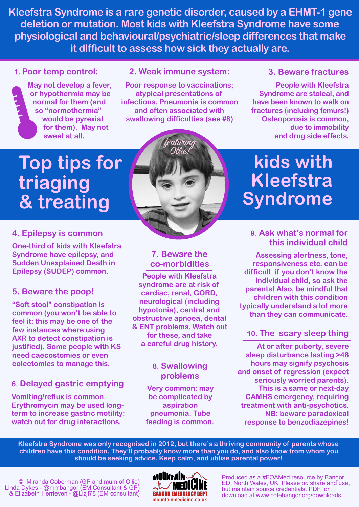**Kleefstra Syndrome is a rare genetic disorder, caused by a EHMT-1 gene deletion or mutation. Most kids with Kleefstra Syndrome have some physiological and behavioural/psychiatric/sleep differences that make it difficult to assess how sick they actually are.**

#### **1. Poor temp control:**

**May not develop a fever, or hypothermia may be normal for them (and so "normothermia" would be pyrexial for them). May not sweat at all.** 

#### **2. Weak immune system:**

**Poor response to vaccinations; atypical presentations of infections. Pneumonia is common and often associated with swallowing difficulties (see #8)**

eaturin

#### **3. Beware fractures**

**People with Kleefstra Syndrome are stoical, and have been known to walk on fractures (including femurs!) Osteoporosis is common, due to immobility and drug side effects.** 

# **Top tips for triaging & treating**

#### **4. Epilepsy is common**

**One-third of kids with Kleefstra Syndrome have epilepsy, and Sudden Unexplained Death in Epilepsy (SUDEP) common.** 

#### **5. Beware the poop!**

**"Soft stool" constipation is common (you won't be able to feel it: this may be one of the few instances where using AXR to detect constipation is justified). Some people with KS need caecostomies or even colectomies to manage this.** 

# **6. Delayed gastric emptying**

**Vomiting/reflux is common. Erythromycin may be used longterm to increase gastric motility: watch out for drug interactions.** 

# **7. Beware the co-morbidities**

**People with Kleefstra syndrome are at risk of cardiac, renal, GORD, neurological (including hypotonia), central and obstructive apnoea, dental & ENT problems. Watch out for these, and take a careful drug history.** 

#### **8. Swallowing problems**

**Very common: may be complicated by aspiration pneumonia. Tube feeding is common.** 

# **kids with Kleefstra Syndrome**

#### **9. Ask what's normal for this individual child**

**Assessing alertness, tone, responsiveness etc. can be difficult if you don't know the individual child, so ask the parents! Also, be mindful that children with this condition typically understand a lot more than they can communicate.** 

# **10. The scary sleep thing**

**At or after puberty, severe sleep disturbance lasting >48 hours may signify psychosis and onset of regression (expect seriously worried parents). This is a same or next-day CAMHS emergency, requiring treatment with anti-psychotics. NB: beware paradoxical response to benzodiazepines!** 

**Kleefstra Syndrome was only recognised in 2012, but there's a thriving community of parents whose children have this condition. They'll probably know more than you do, and also know from whom you should be seeking advice. Keep calm, and utilise parental power!** 



Produced as a #FOAMed resource by Bangor ED, North Wales, UK. Please *do* share and use, but maintain source credentials. PDF for download at [www.cotebangor.org/downloads](http://www.cotebangor.org/downloads)